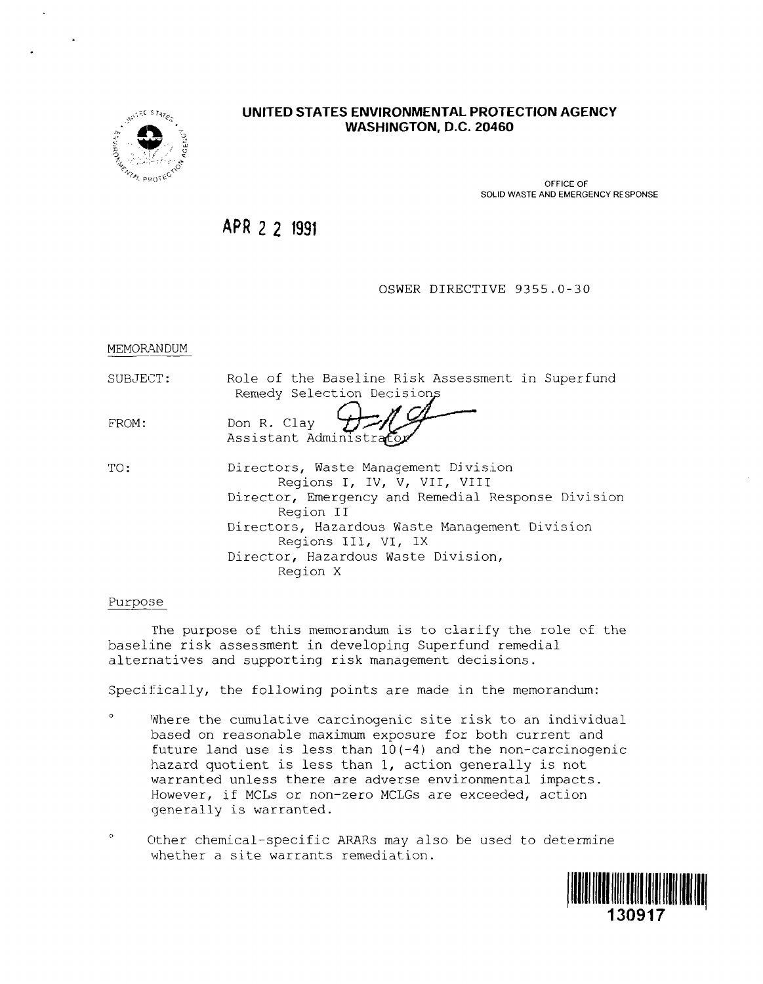

# UNITED STATES ENVIRONMENTAL PROTECTION AGENCY WASHINGTON, D.C. 20460

OFFICE OF SOLID WASTE AND EMERGENCY RE SPONSE

APR 2 2 1991

# OSWER DIRECTIVE 9355.0-30

**MEMORANDUM** 

SUBJECT: Role of the Baseline Risk Assessment in Superfund Remedy Selection Decision^

FROM:

TO:

Don R. Clay Assistant Administr

Directors, Waste Management Djvision Regions I, IV, V, VII, VIII Director, Emergency and Remedial Response Division Region II Directors, Hazardous Waste Management Division Regions III, VI, IX Director, Hazardous Waste Division, Region X

## Purpose

The purpose of this memorandum is to clarify the role of the baseline risk assessment in developing Superfund remedial alternatives and supporting risk management decisions.

Specifically, the following points are made in the memorandum:

- Where the cumulative carcinogenic site risk to an individual based on reasonable maximum exposure for both current and future land use is less than  $10(-4)$  and the non-carcinogenic hazard quotient is less than 1, action generally is not warranted unless there are adverse environmental impacts. However, if MCLs or non-zero MCLGs are exceeded, action generally is warranted.
- ° Other chemical-specific ARARs may also be used to determine whether a site warrants remediation.

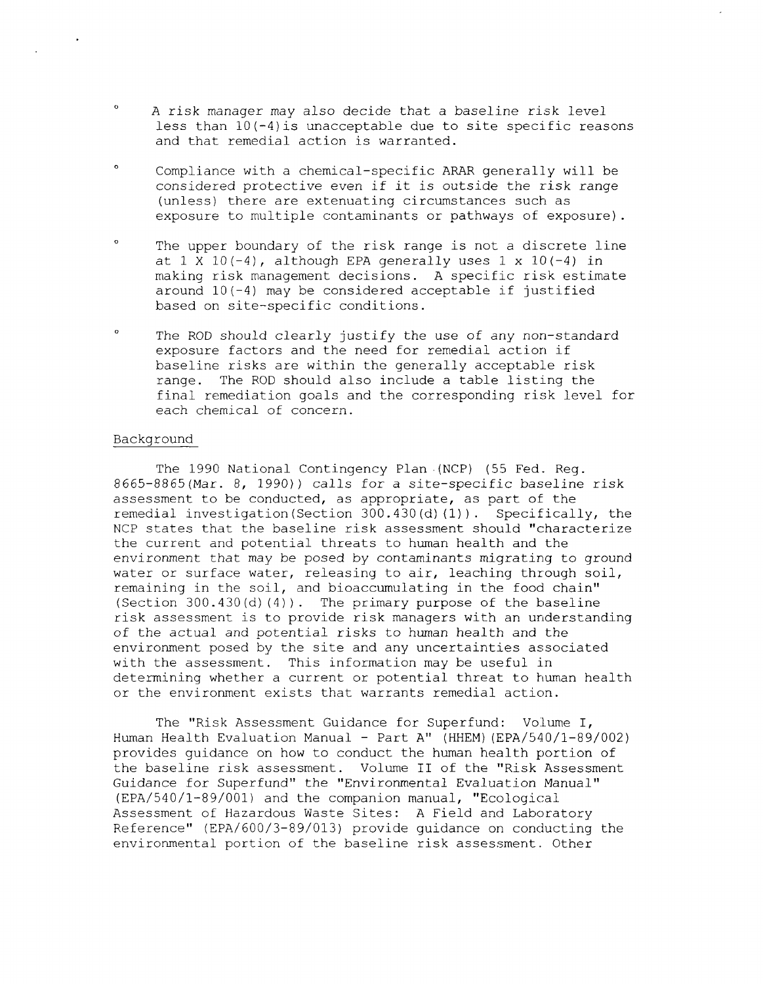- <sup>0</sup> A risk manager may also decide that a baseline risk level less than  $10(-4)$  is unacceptable due to site specific reasons and that remedial action is warranted.
- <sup>0</sup> Compliance with a chemical-specific ARAR generally will be considered protective even if it is outside the risk range (unless) there are extenuating circumstances such as exposure to multiple contaminants or pathways of exposure).
- <sup>0</sup> The upper boundary of the risk range is not a discrete line at  $1 \times 10 (-4)$ , although EPA generally uses  $1 \times 10 (-4)$  in making risk management decisions. A specific risk estimate around  $10(-4)$  may be considered acceptable if justified based on site-specific conditions.
- <sup>0</sup> The ROD should clearly justify the use of any non-standard exposure factors and the need for remedial action if baseline risks are within the generally acceptable risk range. The ROD should also include a table listing the final remediation goals and the corresponding risk level for each chemical of concern.

#### Background

The 1990 National Contingency Plan (NCP) (55 Fed. Req. 8665-8865(Mar. 8, 1990)) calls for a site-specific baseline risk assessment to be conducted, as appropriate, as part of the remedial investigation(Section 300.430(d)(1)). Specifically, the NCP states that the baseline risk assessment should "characterize the current and potential threats to human health and the environment that may be posed by contaminants migrating to ground water or surface water, releasing to air, leaching through soil, remaining in the soil, and bioaccumulating in the food chain" (Section  $300.430(d)(4)$ ). The primary purpose of the baseline risk assessment is to provide risk managers with an understanding of the actual and potential risks to human health and the environment posed by the site and any uncertainties associated with the assessment. This information may be useful in determining whether a current or potential threat to human health or the environment exists that warrants remedial action.

The "Risk Assessment Guidance for Superfund: Volume I, Human Health Evaluation Manual - Part A" (HHEM) (EPA/540/1-89/002) provides guidance on how to conduct the human health portion of the baseline risk assessment. Volume II of the "Risk Assessment Guidance for Superfund" the "Environmental Evaluation Manual" (EPA/540/1-89/001) and the companion manual, "Ecological Assessment of Hazardous Waste Sites: A Field and Laboratory Reference" (EPA/600/3-89/013) provide guidance on conducting the environmental portion of the baseline risk assessment. Other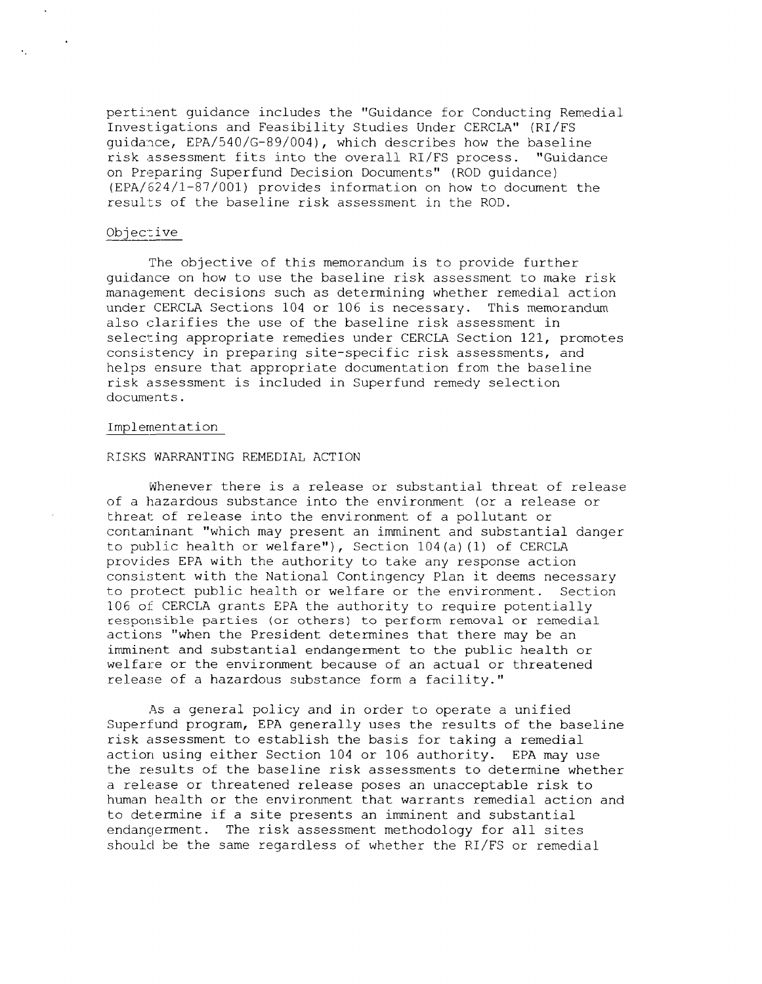pertinent guidance includes the "Guidance for Conducting Remedial Investigations and Feasibility Studies Under CERCLA" (RI/FS guidance, EPA/540/G-89/004), which describes how the baseline risk assessment fits into the overall RI/FS process. "Guidance on Preparing Superfund Decision Documents" (ROD guidance) (EPA/624/1-87/001) provides information on how to document the results of the baseline risk assessment in the ROD.

#### Objective

The objective of this memorandum is to provide further guidance on how to use the baseline risk assessment to make risk management decisions such as determining whether remedial action under CERCLA Sections 104 or 106 is necessary. This memorandum also clarifies the use of the baseline risk assessment in selecting appropriate remedies under CERCLA Section 121, promotes consistency in preparing site-specific risk assessments, and helps ensure that appropriate documentation from the baseline risk assessment is included in Superfund remedy selection documents.

#### Implementation

#### RISKS WARRANTING REMEDIAL ACTION

Whenever there is a release or substantial threat of release of a hazardous substance into the environment (or a release or threat of release into the environment of a pollutant or contaminant "which may present an imminent and substantial danger to public health or welfare"), Section 104 (a) (1) of CERCLA provides EPA with the authority to take any response action consistent with the National Contingency Plan it deems necessary to protect public health or welfare or the environment. Section 106 of CERCLA grants EPA the authority to require potentially responsible parties (or others) to perform removal or remedial actions "when the President determines that there may be an imminent and substantial endangerment to the public health or welfare or the environment because of an actual or threatened release of a hazardous substance form a facility."

As a general policy and in order to operate a unified Superfund program, EPA generally uses the results of the baseline risk assessment to establish the basis for taking a remedial action using either Section 104 or 106 authority. EPA may use the results of the baseline risk assessments to determine whether a release or threatened release poses an unacceptable risk to human health or the environment that warrants remedial action and to determine if a site presents an imminent and substantial endangerment. The risk assessment methodology for all sites should be the same regardless of whether the RI/FS or remedial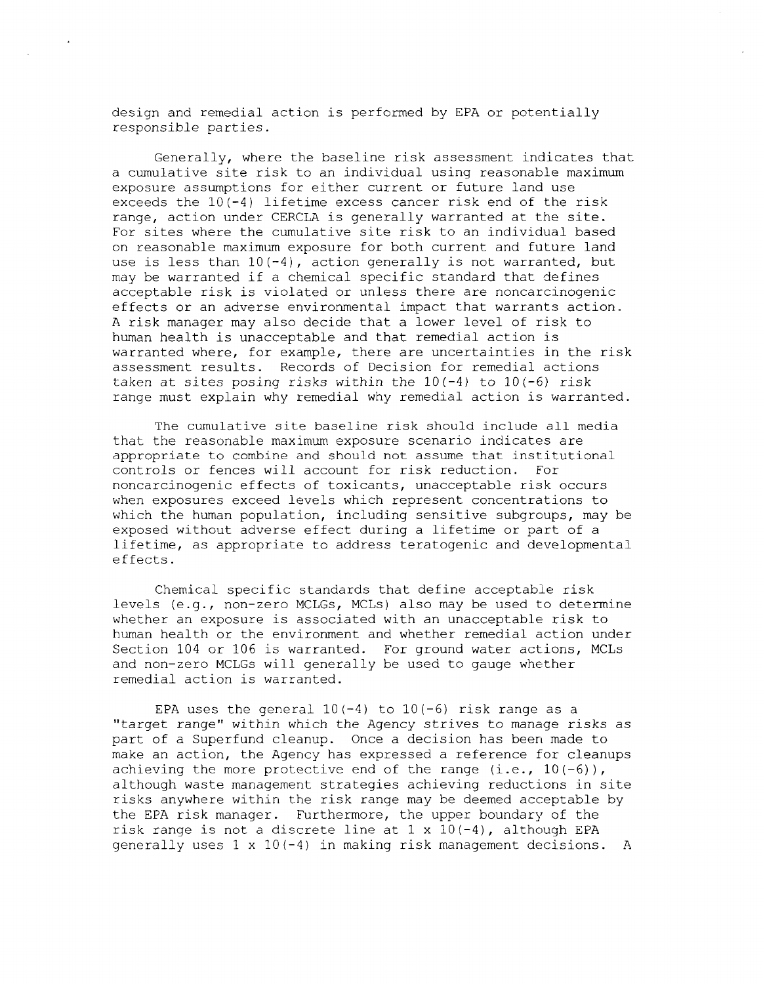design and remedial action is performed by EPA or potentially responsible parties.

 $\Delta$ 

Generally, where the baseline risk assessment indicates that a cumulative site risk to an individual using reasonable maximum exposure assumptions for either current or future land use exceeds the  $10 (-4)$  lifetime excess cancer risk end of the risk range, action under CERCLA is generally warranted at the site. For sites where the cumulative site risk to an individual based on reasonable maximum exposure for both current and future land use is less than  $10(-4)$ , action generally is not warranted, but may be warranted if a chemical specific standard that defines acceptable risk is violated or unless there are noncarcinogenic effects or an adverse environmental impact that warrants action. A risk manager may also decide that a lower level of risk to human health is unacceptable and that remedial action is warranted where, for example, there are uncertainties in the risk assessment results. Records of Decision for remedial actions taken at sites posing risks within the  $10(-4)$  to  $10(-6)$  risk range must explain why remedial why remedial action is warranted.

The cumulative site baseline risk should include all media that the reasonable maximum exposure scenario indicates are appropriate to combine and should not assume that institutional controls or fences will account for risk reduction. For noncarcinogenic effects of toxicants, unacceptable risk occurs when exposures exceed levels which represent concentrations to which the human population, including sensitive subgroups, may be exposed without adverse effect during a lifetime or part of a lifetime, as appropriate to address teratogenic and developmental effects.

Chemical specific standards that define acceptable risk levels (e.g., non-zero MCLGs, MCLs) also may be used to determine whether an exposure is associated with an unacceptable risk to human health or the environment and whether remedial action under Section 104 or 106 is warranted. For ground water actions, MCLs and non-zero MCLGs will generally be used to gauge whether remedial action is warranted.

EPA uses the general  $10(-4)$  to  $10(-6)$  risk range as a "target range" within which the Agency strives to manage risks as part of a Superfund cleanup. Once a decision has been made to make an action, the Agency has expressed a reference for cleanups achieving the more protective end of the range  $(i.e., 10(-6))$ , although waste management strategies achieving reductions in site risks anywhere within the risk range may be deemed acceptable by the EPA risk manager. Furthermore, the upper boundary of the risk range is not a discrete line at  $1 \times 10(-4)$ , although EPA generally uses  $1 \times 10(-4)$  in making risk management decisions. A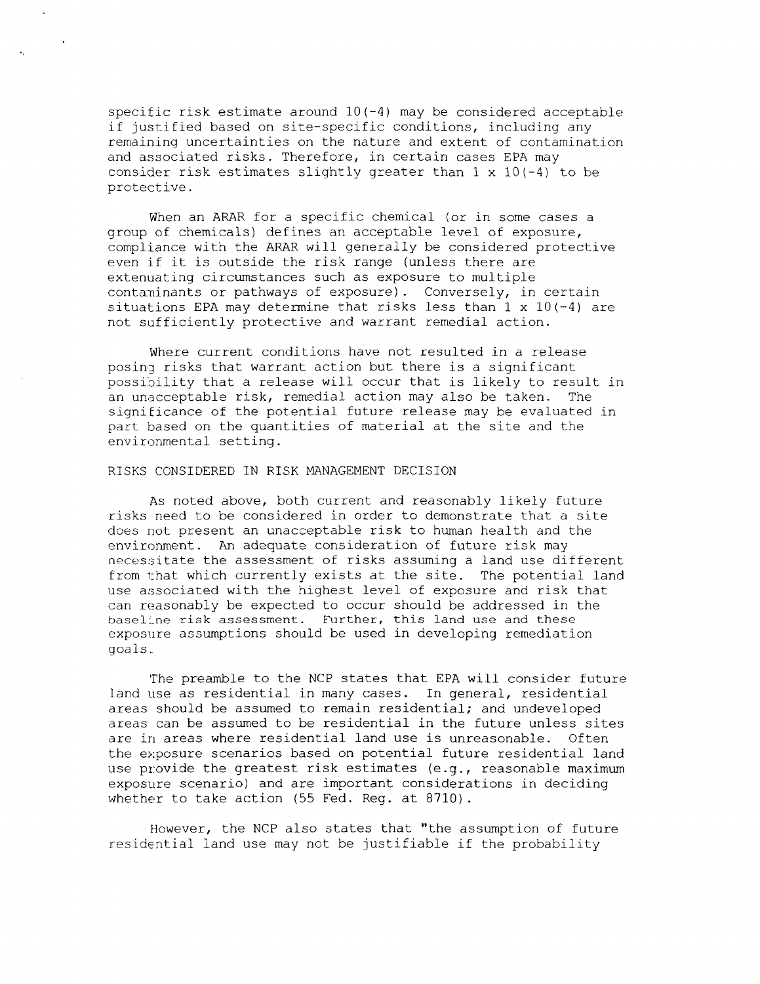specific risk estimate around  $10(-4)$  may be considered acceptable if justified based on site-specific conditions, including any remaining uncertainties on the nature and extent of contamination and associated risks. Therefore, in certain cases EPA may consider risk estimates slightly greater than  $1 \times 10(-4)$  to be protective.

When an ARAR for a specific chemical (or in some cases a group of chemicals) defines an acceptable level of exposure, compliance with the ARAR will generally be considered protective even if it is outside the risk range (unless there are extenuating circumstances such as exposure to multiple contaminants or pathways of exposure). Conversely, in certain situations EPA may determine that risks less than  $1 \times 10(-4)$  are not sufficiently protective and warrant remedial action.

Where current conditions have not resulted in a release posing risks that warrant action but there is a significant possibility that a release will occur that is likely to result in an unacceptable risk, remedial action may also be taken. The significance of the potential future release may be evaluated in part based on the quantities of material at the site and the environmental setting.

### RISKS CONSIDERED IN RISK MANAGEMENT DECISION

As noted above, both current and reasonably likely future risks need to be considered in order to demonstrate that a site does not present an unacceptable risk to human health and the environment. An adequate consideration of future risk may necessitate the assessment of risks assuming a land use different from that which currently exists at the site. The potential land use associated with the highest level of exposure and risk that can reasonably be expected to occur should be addressed in the baseline risk assessment. Further, this land use and these exposure assumptions should be used in developing remediation goals..

The preamble to the NCP states that EPA will consider future land use as residential in many cases. In general, residential areas should be assumed to remain residential; and undeveloped areas can be assumed to be residential in the future unless sites are in areas where residential land use is unreasonable. Often the exposure scenarios based on potential future residential land use provide the greatest risk estimates (e.g., reasonable maximum exposure scenario) and are important considerations in deciding whether to take action (55 Fed. Reg. at 8710) .

However, the NCP also states that "the assumption of future residential land use may not be justifiable if the probability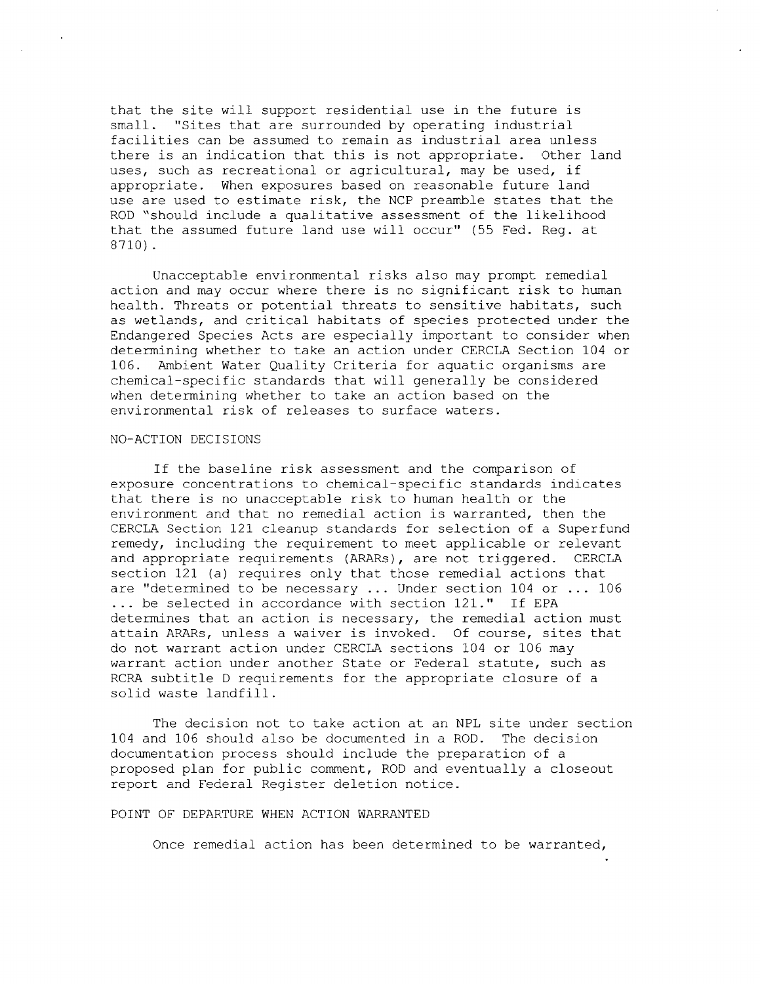that the site will support residential use in the future is small. "Sites that are surrounded by operating industrial facilities can be assumed to remain as industrial area unless there is an indication that this is not appropriate. Other land uses, such as recreational or agricultural, may be used, if appropriate. When exposures based on reasonable future land use are used to estimate risk, the NCP preamble states that the ROD "should include a qualitative assessment of the likelihood that the assumed future land use will occur" (55 Fed. Reg. at 8710).

Unacceptable environmental risks also may prompt remedial action and may occur where there is no significant risk to human health. Threats or potential threats to sensitive habitats, such as wetlands, and critical habitats of species protected under the Endangered Species Acts are especially important to consider when determining whether to take an action under CERCLA Section 104 or 106. Ambient Water Quality Criteria for aquatic organisms are chemical-specific standards that will generally be considered when determining whether to take an action based on the environmental risk of releases to surface waters.

## NO-ACTION DECISIONS

If the baseline risk assessment and the comparison of exposure concentrations to chemical-specific standards indicates that there is no unacceptable risk to human health or the environment and that no remedial action is warranted, then the CERCLA Section 121 cleanup standards for selection of a Superfund remedy, including the requirement to meet applicable or relevant and appropriate requirements (ARARs), are not triggered. CERCLA section 121 (a) requires only that those remedial actions that are "determined to be necessary ... Under section 104 or ... 106 ...be selected in accordance with section 121." If EPA determines that an action is necessary, the remedial action must attain ARARs, unless a waiver is invoked. Of course, sites that do not warrant action under CERCLA sections 104 or 106 may warrant action under another State or Federal statute, such as RCRA subtitle D requirements for the appropriate closure of a solid waste landfill.

The decision not to take action at an NPL site under section 104 and 106 should also be documented in a ROD. The decision documentation process should include the preparation of a proposed plan for public comment, ROD and eventually a closeout report and Federal Register deletion notice.

#### POINT OF DEPARTURE WHEN ACTION WARRANTED

Once remedial action has been determined to be warranted,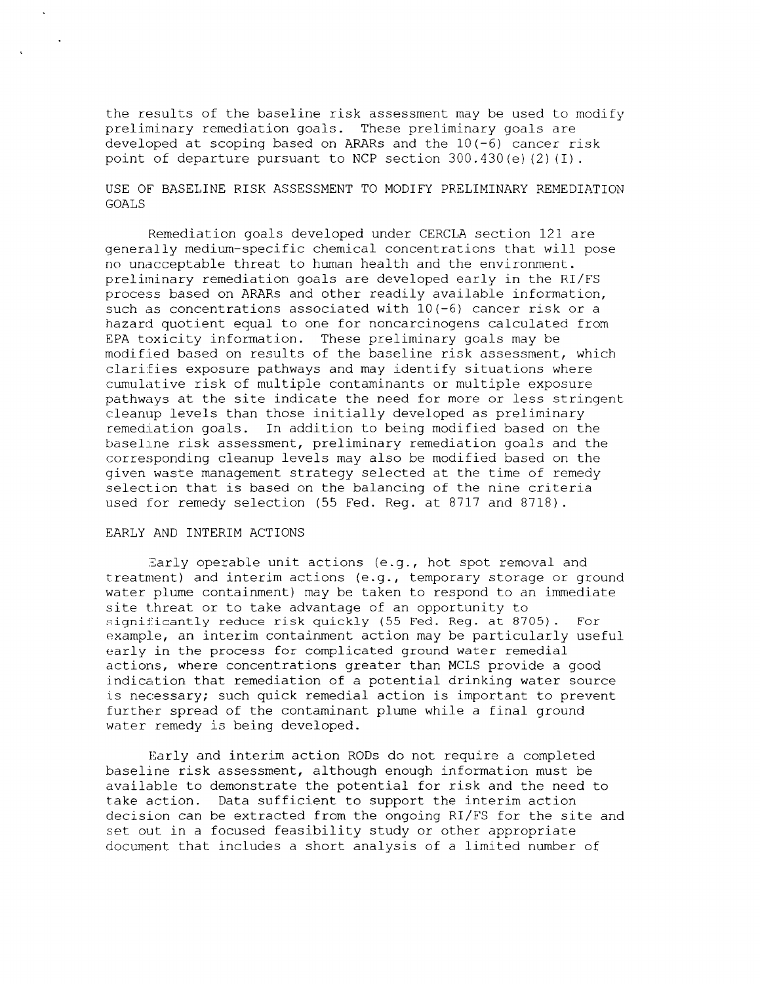the results of the baseline risk assessment may be used to modify preliminary remediation goals. These preliminary goals are developed at scoping based on ARARs and the  $10(-6)$  cancer risk point of departure pursuant to NCP section  $300.430(e)(2)(I)$ .

# USE OF BASELINE RISK ASSESSMENT TO MODIFY PRELIMINARY REMEDIATION GOALS

Remediation goals developed under CERCLA section 121 are generally medium-specific chemical concentrations that will pose no unacceptable threat to human health and the environment, preliminary remediation goals are developed early in the RI/FS process based on ARARs and other readily available information, such as concentrations associated with  $10 (-6)$  cancer risk or a hazard quotient equal to one for noncarcinogens calculated from EPA toxicity information. These preliminary goals may be modified based on results of the baseline risk assessment, which clarifies exposure pathways and may identify situations where cumulative risk of multiple contaminants or multiple exposure pathways at the site indicate the need for more or less stringent cleanup levels than those initially developed as preliminary remediation goals. In addition to being modified based on the baseline risk assessment, preliminary remediation goals and the corresponding cleanup levels may also be modified based on the given waste management strategy selected at the time of remedy selection that is based on the balancing of the nine criteria used for remedy selection (55 Fed. Reg. at 8717 and 8718).

## EARLY AND INTERIM ACTIONS

Zarly operable unit actions (e.g., hot spot removal and treatment) and interim actions (e.g., temporary storage or ground water plume containment) may be taken to respond to an immediate site threat or to take advantage of an opportunity to significantly reduce risk quickly (55 Fed. Reg. at 8705). For example, an interim containment action may be particularly useful early in the process for complicated ground water remedial actions, where concentrations greater than MCLS provide a good indication that remediation of a potential drinking water source is necessary; such quick remedial action is important to prevent further spread of the contaminant plume while a final ground water remedy is being developed.

Early and interim action RODs do not require a completed baseline risk assessment, although enough information must be available to demonstrate the potential for risk and the need to take action. Data sufficient to support the interim action decision can be extracted from the ongoing RI/FS for the site and set out in a focused feasibility study or other appropriate document that includes a short analysis of a limited number of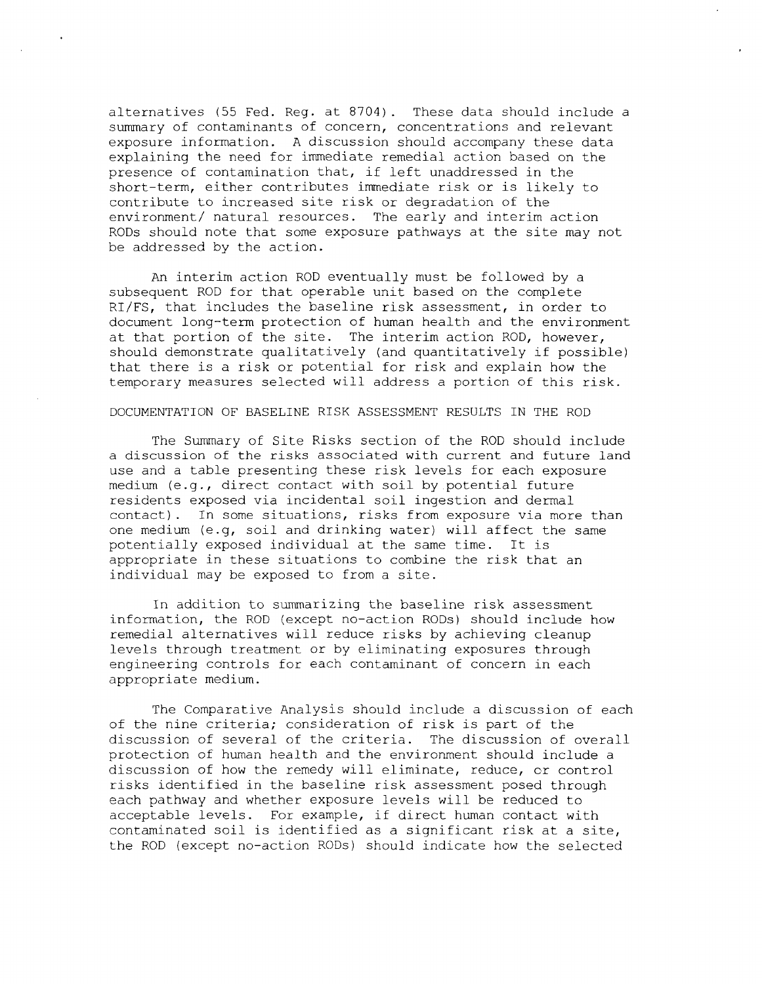alternatives (55 Fed. Reg. at 8704). These data should include a summary of contaminants of concern, concentrations and relevant exposure information. A discussion should accompany these data explaining the need for immediate remedial action based on the presence of contamination that, if left unaddressed in the short-term, either contributes immediate risk or is likely to contribute to increased site risk or degradation of the environment/ natural resources. The early and interim action RODs should note that some exposure pathways at the site may not be addressed by the action.

An interim action ROD eventually must be followed by a subsequent ROD for that operable unit based on the complete RI/FS, that includes the baseline risk assessment, in order to document long-term protection of human health and the environment at that portion of the site. The interim action ROD, however, should demonstrate qualitatively (and quantitatively if possible) that there is a risk or potential for risk and explain how the temporary measures selected will address a portion of this risk.

### DOCUMENTATION OF BASELINE RISK ASSESSMENT RESULTS IN THE ROD

The Summary of Site Risks section of the ROD should include a discussion of the risks associated with current and future land use and a table presenting these risk levels for each exposure medium (e.g., direct contact with soil by .potential future residents exposed via incidental soil ingestion and dermal contact). In some situations, risks from exposure via more than one medium (e.g, soil and drinking water) will affect the same potentially exposed individual at the same time. It is appropriate in these situations to combine the risk that an individual may be exposed to from a site.

In addition to summarizing the baseline risk assessment information, the ROD (except no-action RODs) should include how remedial alternatives will reduce risks by achieving cleanup levels through treatment or by eliminating exposures through engineering controls for each contaminant of concern in each appropriate medium.

The Comparative Analysis should include a discussion of each of the nine criteria; consideration of risk is part of the discussion of several of the criteria. The discussion of overall protection of human health and the environment should include a discussion of how the remedy will eliminate, reduce, or control risks identified in the baseline risk assessment posed through each pathway and whether exposure levels will be reduced to acceptable levels. For example, if direct human contact with contaminated soil is identified as a significant risk at a site, the ROD (except no-action RODs) should indicate how the selected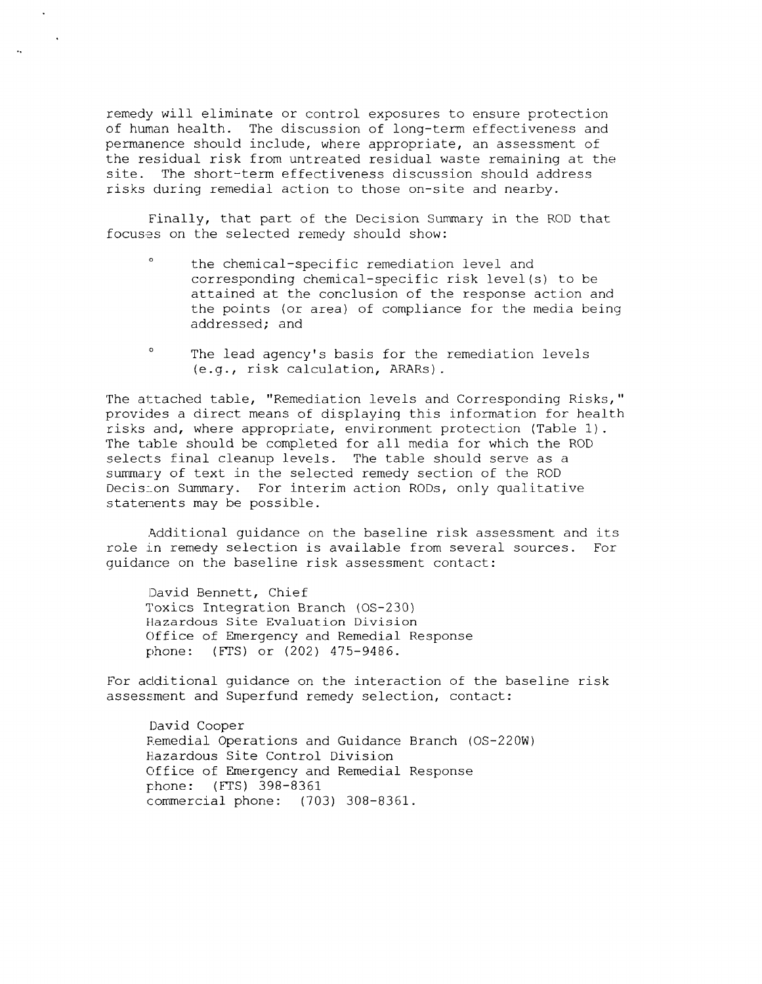remedy will eliminate or control exposures to ensure protection of human health. The discussion of long-term effectiveness and permanence should include, where appropriate, an assessment of the residual risk from untreated residual waste remaining at the site. The short-term effectiveness discussion should address risks during remedial action to those on-site and nearby.

Finally, that part of the Decision Summary in the ROD that focuses on the selected remedy should show:

- the chemical-specific remediation level and corresponding chemical-specific risk level(s) to be attained at the conclusion of the response action and the points (or area) of compliance for the media being addressed; and
- ° The lead agency's basis for the remediation levels (e.g., risk calculation, ARARs).

The attached table, "Remediation levels and Corresponding Risks," provides a direct means of displaying this information for health risks and, where appropriate, environment protection (Table 1). The table should be completed for all media for which the ROD selects final cleanup levels. The table should serve as a summary of text in the selected remedy section of the ROD Decision Summary. For interim action RODs, only qualitative statenents may be possible.

Additional guidance on the baseline risk assessment and its role in remedy selection is available from several sources. For guidance on the baseline risk assessment contact:

David Bennett, Chief Toxics Integration Branch (OS-230) Hazardous Site Evaluation Division Office of Emergency and Remedial Response phone: (FTS) or (202) 475-9486.

For additional guidance on the interaction of the baseline risk assessment and Superfund remedy selection, contact:

David Cooper Remedial Operations and Guidance Branch (OS-220W) Hazardous Site Control Division Office of Emergency and Remedial Response phone: (FTS) 398-8361 commercial phone: (703) 308-8361.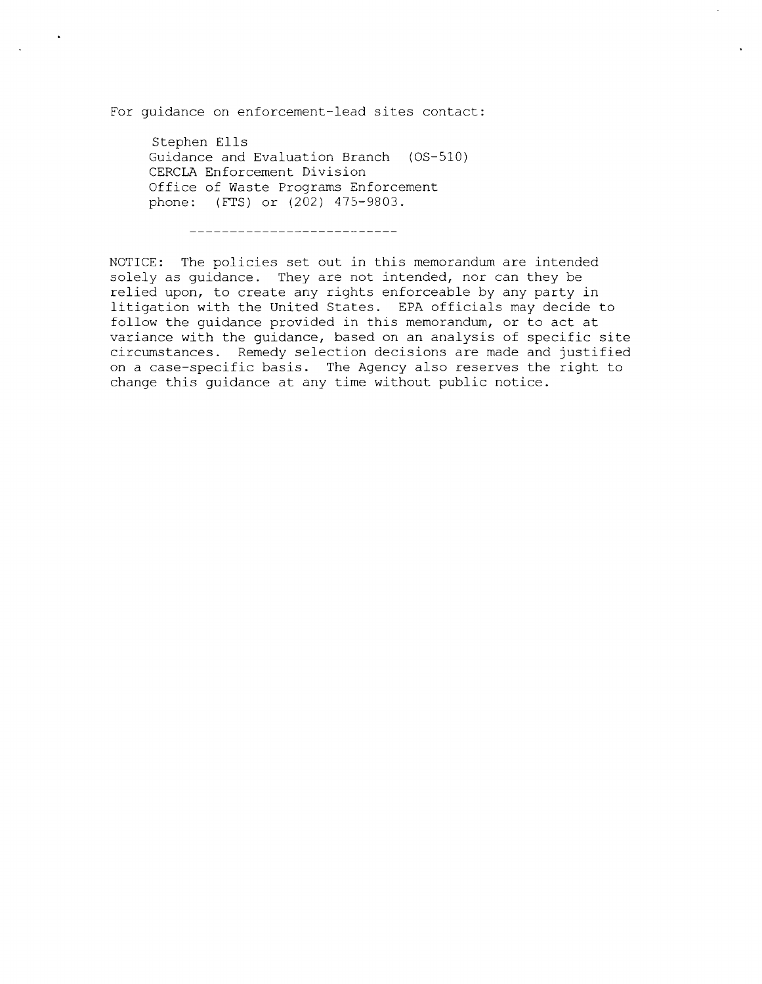For guidance on enforcement-lead sites contact:

Stephen Ells Guidance and Evaluation Branch (OS-510) CERCLA Enforcement Division Office of Waste Programs Enforcement phone: (FTS) or (202) 475-9803.

\_\_\_\_\_\_\_\_\_\_\_\_\_\_\_\_\_\_\_\_\_\_\_\_\_\_\_\_\_

NOTICE: The policies set out in this memorandum are intended solely as guidance. They are not intended, nor can they be relied upon, to create any rights enforceable by any party in litigation with the United States. EPA officials may decide to follow the guidance provided in this memorandum, or to act at variance with the guidance, based on an analysis of specific site circumstances. Remedy selection decisions are made and justified on a case-specific basis. The Agency also reserves the right to change this guidance at any time without public notice.